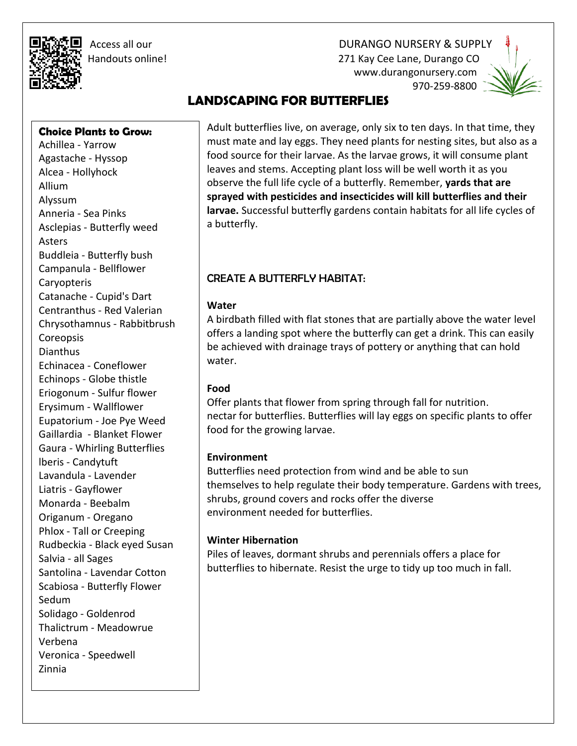Access all our DURANGO NURSERY & SUPPLY

 Handouts online! 271 Kay Cee Lane, Durango CO www.durangonursery.com 970-259-8800



Ī

# **LANDSCAPING FOR BUTTERFLIES**

**Choice Plants to Grow:**

Achillea - Yarrow Agastache - Hyssop Alcea - Hollyhock Allium Alyssum Anneria - Sea Pinks Asclepias - Butterfly weed Asters Buddleia - Butterfly bush Campanula - Bellflower Caryopteris Catanache - Cupid's Dart Centranthus - Red Valerian Chrysothamnus - Rabbitbrush **Coreopsis** Dianthus Echinacea - Coneflower Echinops - Globe thistle Eriogonum - Sulfur flower Erysimum - Wallflower Eupatorium - Joe Pye Weed Gaillardia - Blanket Flower Gaura - Whirling Butterflies lberis - Candytuft Lavandula - Lavender Liatris - Gayflower Monarda - Beebalm Origanum - Oregano Phlox - Tall or Creeping Rudbeckia - Black eyed Susan Salvia - all Sages Santolina - Lavendar Cotton Scabiosa - Butterfly Flower Sedum Solidago - Goldenrod Thalictrum - Meadowrue Verbena Veronica - Speedwell Zinnia

Adult butterflies live, on average, only six to ten days. In that time, they must mate and lay eggs. They need plants for nesting sites, but also as a food source for their larvae. As the larvae grows, it will consume plant leaves and stems. Accepting plant loss will be well worth it as you observe the full life cycle of a butterfly. Remember, **yards that are sprayed with pesticides and insecticides will kill butterflies and their larvae.** Successful butterfly gardens contain habitats for all life cycles of a butterfly.

# CREATE A BUTTERFLY HABITAT:

#### **Water**

A birdbath filled with flat stones that are partially above the water level offers a landing spot where the butterfly can get a drink. This can easily be achieved with drainage trays of pottery or anything that can hold water.

## **Food**

Offer plants that flower from spring through fall for nutrition. nectar for butterflies. Butterflies will lay eggs on specific plants to offer food for the growing larvae.

## **Environment**

Butterflies need protection from wind and be able to sun themselves to help regulate their body temperature. Gardens with trees, shrubs, ground covers and rocks offer the diverse environment needed for butterflies.

## **Winter Hibernation**

Piles of leaves, dormant shrubs and perennials offers a place for butterflies to hibernate. Resist the urge to tidy up too much in fall.